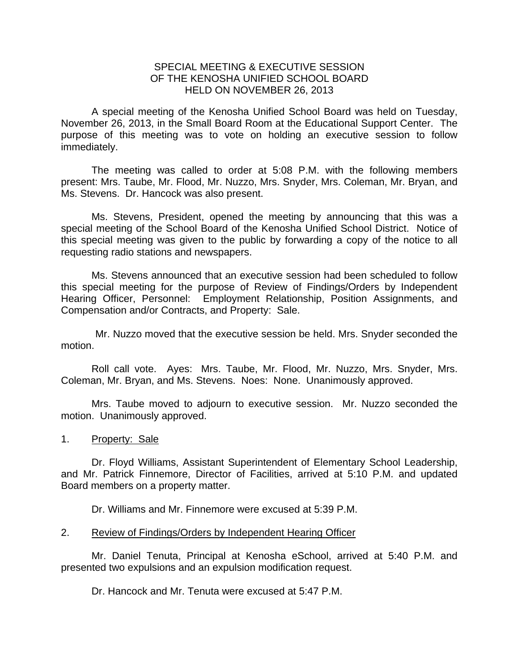## SPECIAL MEETING & EXECUTIVE SESSION OF THE KENOSHA UNIFIED SCHOOL BOARD HELD ON NOVEMBER 26, 2013

A special meeting of the Kenosha Unified School Board was held on Tuesday, November 26, 2013, in the Small Board Room at the Educational Support Center. The purpose of this meeting was to vote on holding an executive session to follow immediately.

 The meeting was called to order at 5:08 P.M. with the following members present: Mrs. Taube, Mr. Flood, Mr. Nuzzo, Mrs. Snyder, Mrs. Coleman, Mr. Bryan, and Ms. Stevens. Dr. Hancock was also present.

 Ms. Stevens, President, opened the meeting by announcing that this was a special meeting of the School Board of the Kenosha Unified School District. Notice of this special meeting was given to the public by forwarding a copy of the notice to all requesting radio stations and newspapers.

 Ms. Stevens announced that an executive session had been scheduled to follow this special meeting for the purpose of Review of Findings/Orders by Independent Hearing Officer, Personnel: Employment Relationship, Position Assignments, and Compensation and/or Contracts, and Property: Sale.

 Mr. Nuzzo moved that the executive session be held. Mrs. Snyder seconded the motion.

 Roll call vote. Ayes: Mrs. Taube, Mr. Flood, Mr. Nuzzo, Mrs. Snyder, Mrs. Coleman, Mr. Bryan, and Ms. Stevens. Noes: None. Unanimously approved.

 Mrs. Taube moved to adjourn to executive session. Mr. Nuzzo seconded the motion. Unanimously approved.

1. Property: Sale

 Dr. Floyd Williams, Assistant Superintendent of Elementary School Leadership, and Mr. Patrick Finnemore, Director of Facilities, arrived at 5:10 P.M. and updated Board members on a property matter.

Dr. Williams and Mr. Finnemore were excused at 5:39 P.M.

## 2. Review of Findings/Orders by Independent Hearing Officer

Mr. Daniel Tenuta, Principal at Kenosha eSchool, arrived at 5:40 P.M. and presented two expulsions and an expulsion modification request.

Dr. Hancock and Mr. Tenuta were excused at 5:47 P.M.